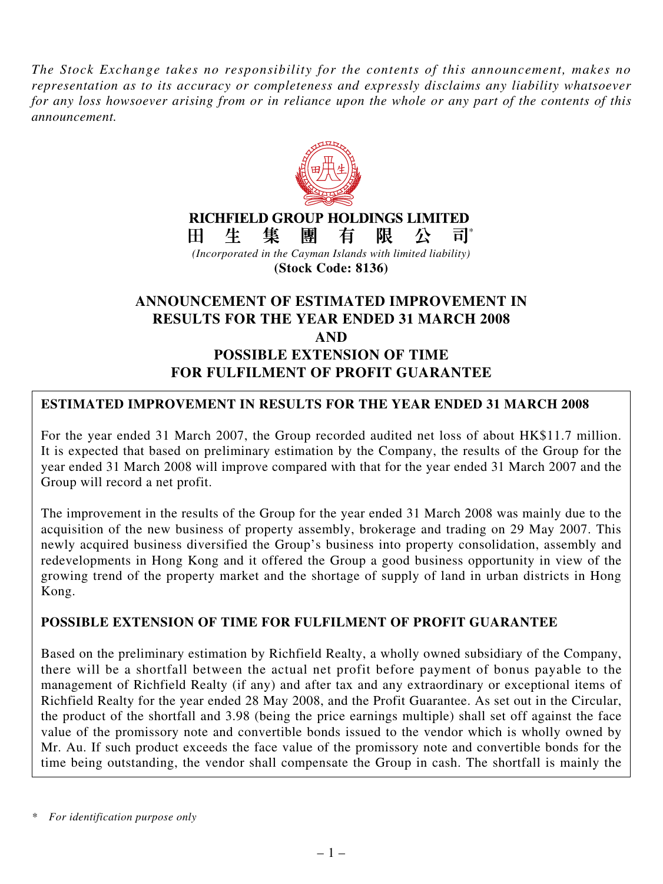*The Stock Exchange takes no responsibility for the contents of this announcement, makes no representation as to its accuracy or completeness and expressly disclaims any liability whatsoever for any loss howsoever arising from or in reliance upon the whole or any part of the contents of this announcement.*



**RICHFIELD GROUP HOLDINGS LIMITED** H. 生 集 團 有 限 公  $\overline{\mathsf{H}}^*$ 

*(Incorporated in the Cayman Islands with limited liability)* **(Stock Code: 8136)**

# **ANNOUNCEMENT OF ESTIMATED IMPROVEMENT IN RESULTS FOR THE YEAR ENDED 31 MARCH 2008 AND POSSIBLE EXTENSION OF TIME FOR FULFILMENT OF PROFIT GUARANTEE**

# **ESTIMATED IMPROVEMENT IN RESULTS FOR THE YEAR ENDED 31 MARCH 2008**

For the year ended 31 March 2007, the Group recorded audited net loss of about HK\$11.7 million. It is expected that based on preliminary estimation by the Company, the results of the Group for the year ended 31 March 2008 will improve compared with that for the year ended 31 March 2007 and the Group will record a net profit.

The improvement in the results of the Group for the year ended 31 March 2008 was mainly due to the acquisition of the new business of property assembly, brokerage and trading on 29 May 2007. This newly acquired business diversified the Group's business into property consolidation, assembly and redevelopments in Hong Kong and it offered the Group a good business opportunity in view of the growing trend of the property market and the shortage of supply of land in urban districts in Hong Kong.

### **POSSIBLE EXTENSION OF TIME FOR FULFILMENT OF PROFIT GUARANTEE**

Based on the preliminary estimation by Richfield Realty, a wholly owned subsidiary of the Company, there will be a shortfall between the actual net profit before payment of bonus payable to the management of Richfield Realty (if any) and after tax and any extraordinary or exceptional items of Richfield Realty for the year ended 28 May 2008, and the Profit Guarantee. As set out in the Circular, the product of the shortfall and 3.98 (being the price earnings multiple) shall set off against the face value of the promissory note and convertible bonds issued to the vendor which is wholly owned by Mr. Au. If such product exceeds the face value of the promissory note and convertible bonds for the time being outstanding, the vendor shall compensate the Group in cash. The shortfall is mainly the

*<sup>\*</sup> For identification purpose only*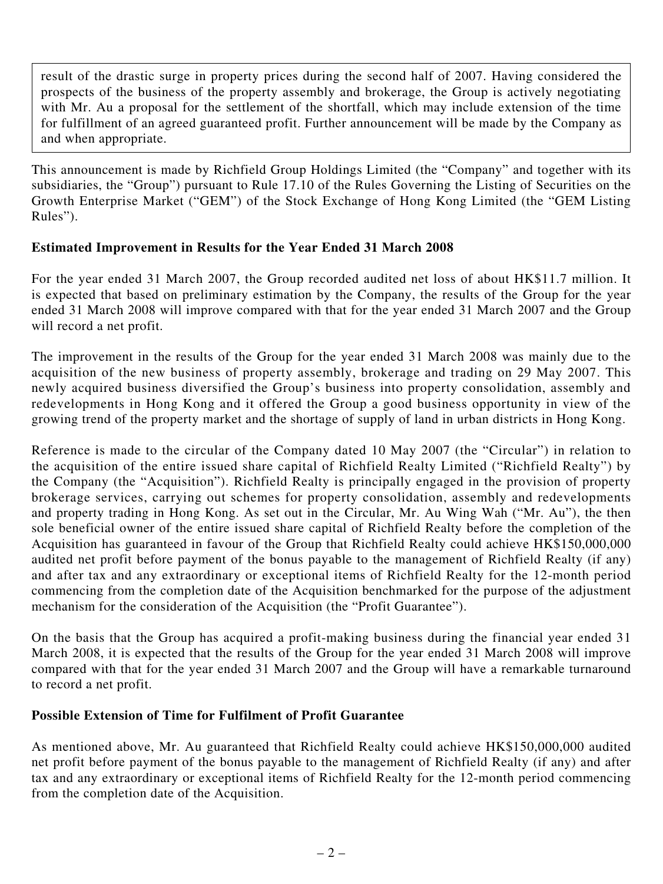result of the drastic surge in property prices during the second half of 2007. Having considered the prospects of the business of the property assembly and brokerage, the Group is actively negotiating with Mr. Au a proposal for the settlement of the shortfall, which may include extension of the time for fulfillment of an agreed guaranteed profit. Further announcement will be made by the Company as and when appropriate.

This announcement is made by Richfield Group Holdings Limited (the "Company" and together with its subsidiaries, the "Group") pursuant to Rule 17.10 of the Rules Governing the Listing of Securities on the Growth Enterprise Market ("GEM") of the Stock Exchange of Hong Kong Limited (the "GEM Listing Rules").

# **Estimated Improvement in Results for the Year Ended 31 March 2008**

For the year ended 31 March 2007, the Group recorded audited net loss of about HK\$11.7 million. It is expected that based on preliminary estimation by the Company, the results of the Group for the year ended 31 March 2008 will improve compared with that for the year ended 31 March 2007 and the Group will record a net profit.

The improvement in the results of the Group for the year ended 31 March 2008 was mainly due to the acquisition of the new business of property assembly, brokerage and trading on 29 May 2007. This newly acquired business diversified the Group's business into property consolidation, assembly and redevelopments in Hong Kong and it offered the Group a good business opportunity in view of the growing trend of the property market and the shortage of supply of land in urban districts in Hong Kong.

Reference is made to the circular of the Company dated 10 May 2007 (the "Circular") in relation to the acquisition of the entire issued share capital of Richfield Realty Limited ("Richfield Realty") by the Company (the "Acquisition"). Richfield Realty is principally engaged in the provision of property brokerage services, carrying out schemes for property consolidation, assembly and redevelopments and property trading in Hong Kong. As set out in the Circular, Mr. Au Wing Wah ("Mr. Au"), the then sole beneficial owner of the entire issued share capital of Richfield Realty before the completion of the Acquisition has guaranteed in favour of the Group that Richfield Realty could achieve HK\$150,000,000 audited net profit before payment of the bonus payable to the management of Richfield Realty (if any) and after tax and any extraordinary or exceptional items of Richfield Realty for the 12-month period commencing from the completion date of the Acquisition benchmarked for the purpose of the adjustment mechanism for the consideration of the Acquisition (the "Profit Guarantee").

On the basis that the Group has acquired a profit-making business during the financial year ended 31 March 2008, it is expected that the results of the Group for the year ended 31 March 2008 will improve compared with that for the year ended 31 March 2007 and the Group will have a remarkable turnaround to record a net profit.

### **Possible Extension of Time for Fulfilment of Profit Guarantee**

As mentioned above, Mr. Au guaranteed that Richfield Realty could achieve HK\$150,000,000 audited net profit before payment of the bonus payable to the management of Richfield Realty (if any) and after tax and any extraordinary or exceptional items of Richfield Realty for the 12-month period commencing from the completion date of the Acquisition.